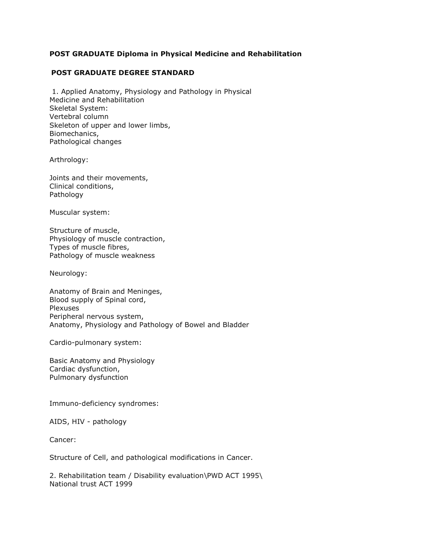## **POST GRADUATE Diploma in Physical Medicine and Rehabilitation**

## **POST GRADUATE DEGREE STANDARD**

1. Applied Anatomy, Physiology and Pathology in Physical Medicine and Rehabilitation Skeletal System: Vertebral column Skeleton of upper and lower limbs, Biomechanics, Pathological changes

Arthrology:

Joints and their movements, Clinical conditions, Pathology

Muscular system:

Structure of muscle, Physiology of muscle contraction, Types of muscle fibres, Pathology of muscle weakness

Neurology:

Anatomy of Brain and Meninges, Blood supply of Spinal cord, Plexuses Peripheral nervous system, Anatomy, Physiology and Pathology of Bowel and Bladder

Cardio-pulmonary system:

Basic Anatomy and Physiology Cardiac dysfunction, Pulmonary dysfunction

Immuno-deficiency syndromes:

AIDS, HIV - pathology

Cancer:

Structure of Cell, and pathological modifications in Cancer.

2. Rehabilitation team / Disability evaluation\PWD ACT 1995\ National trust ACT 1999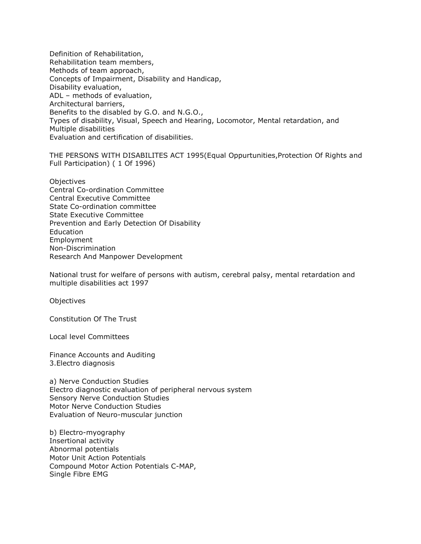Definition of Rehabilitation, Rehabilitation team members, Methods of team approach, Concepts of Impairment, Disability and Handicap, Disability evaluation, ADL – methods of evaluation, Architectural barriers, Benefits to the disabled by G.O. and N.G.O., Types of disability, Visual, Speech and Hearing, Locomotor, Mental retardation, and Multiple disabilities Evaluation and certification of disabilities.

THE PERSONS WITH DISABILITES ACT 1995(Equal Oppurtunities,Protection Of Rights and Full Participation) ( 1 Of 1996)

**Objectives** Central Co-ordination Committee Central Executive Committee State Co-ordination committee State Executive Committee Prevention and Early Detection Of Disability Education Employment Non-Discrimination Research And Manpower Development

National trust for welfare of persons with autism, cerebral palsy, mental retardation and multiple disabilities act 1997

**Objectives** 

Constitution Of The Trust

Local level Committees

Finance Accounts and Auditing 3.Electro diagnosis

a) Nerve Conduction Studies Electro diagnostic evaluation of peripheral nervous system Sensory Nerve Conduction Studies Motor Nerve Conduction Studies Evaluation of Neuro-muscular junction

b) Electro-myography Insertional activity Abnormal potentials Motor Unit Action Potentials Compound Motor Action Potentials C-MAP, Single Fibre EMG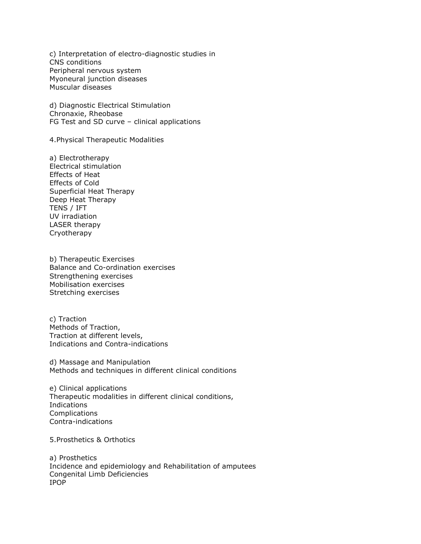c) Interpretation of electro-diagnostic studies in CNS conditions Peripheral nervous system Myoneural junction diseases Muscular diseases

d) Diagnostic Electrical Stimulation Chronaxie, Rheobase FG Test and SD curve – clinical applications

4.Physical Therapeutic Modalities

a) Electrotherapy Electrical stimulation Effects of Heat Effects of Cold Superficial Heat Therapy Deep Heat Therapy TENS / IFT UV irradiation LASER therapy Cryotherapy

b) Therapeutic Exercises Balance and Co-ordination exercises Strengthening exercises Mobilisation exercises Stretching exercises

c) Traction Methods of Traction, Traction at different levels, Indications and Contra-indications

d) Massage and Manipulation Methods and techniques in different clinical conditions

e) Clinical applications Therapeutic modalities in different clinical conditions, **Indications** Complications Contra-indications

5.Prosthetics & Orthotics

a) Prosthetics Incidence and epidemiology and Rehabilitation of amputees Congenital Limb Deficiencies IPOP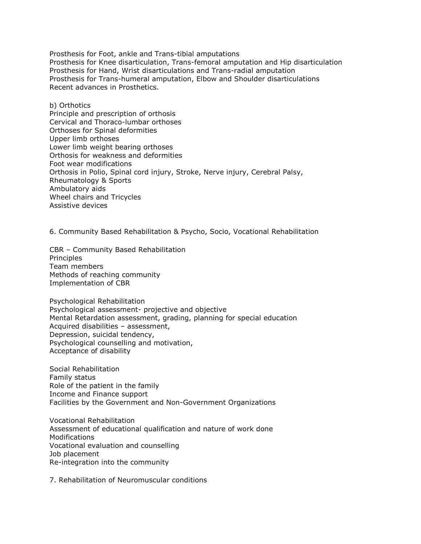Prosthesis for Foot, ankle and Trans-tibial amputations Prosthesis for Knee disarticulation, Trans-femoral amputation and Hip disarticulation Prosthesis for Hand, Wrist disarticulations and Trans-radial amputation Prosthesis for Trans-humeral amputation, Elbow and Shoulder disarticulations Recent advances in Prosthetics.

b) Orthotics Principle and prescription of orthosis Cervical and Thoraco-lumbar orthoses Orthoses for Spinal deformities Upper limb orthoses Lower limb weight bearing orthoses Orthosis for weakness and deformities Foot wear modifications Orthosis in Polio, Spinal cord injury, Stroke, Nerve injury, Cerebral Palsy, Rheumatology & Sports Ambulatory aids Wheel chairs and Tricycles Assistive devices

6. Community Based Rehabilitation & Psycho, Socio, Vocational Rehabilitation

CBR – Community Based Rehabilitation **Principles** Team members Methods of reaching community Implementation of CBR

Psychological Rehabilitation Psychological assessment- projective and objective Mental Retardation assessment, grading, planning for special education Acquired disabilities – assessment, Depression, suicidal tendency, Psychological counselling and motivation, Acceptance of disability

Social Rehabilitation Family status Role of the patient in the family Income and Finance support Facilities by the Government and Non-Government Organizations

Vocational Rehabilitation Assessment of educational qualification and nature of work done Modifications Vocational evaluation and counselling Job placement Re-integration into the community

7. Rehabilitation of Neuromuscular conditions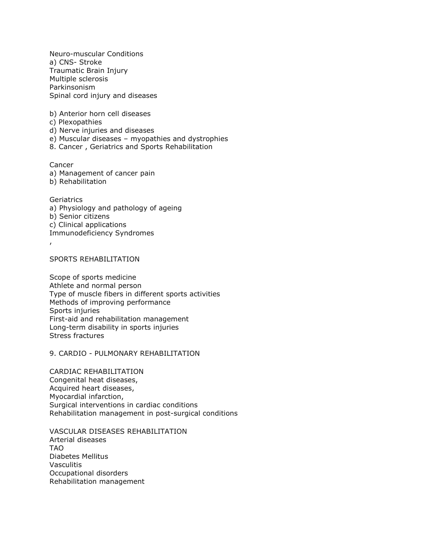Neuro-muscular Conditions a) CNS- Stroke Traumatic Brain Injury Multiple sclerosis Parkinsonism Spinal cord injury and diseases

b) Anterior horn cell diseases

c) Plexopathies

d) Nerve injuries and diseases

e) Muscular diseases – myopathies and dystrophies

8. Cancer , Geriatrics and Sports Rehabilitation

Cancer

a) Management of cancer pain

b) Rehabilitation

**Geriatrics** a) Physiology and pathology of ageing b) Senior citizens c) Clinical applications Immunodeficiency Syndromes

,

SPORTS REHABILITATION

Scope of sports medicine Athlete and normal person Type of muscle fibers in different sports activities Methods of improving performance Sports injuries First-aid and rehabilitation management Long-term disability in sports injuries Stress fractures

9. CARDIO - PULMONARY REHABILITATION

CARDIAC REHABILITATION Congenital heat diseases, Acquired heart diseases, Myocardial infarction, Surgical interventions in cardiac conditions Rehabilitation management in post-surgical conditions

VASCULAR DISEASES REHABILITATION Arterial diseases TAO Diabetes Mellitus Vasculitis Occupational disorders Rehabilitation management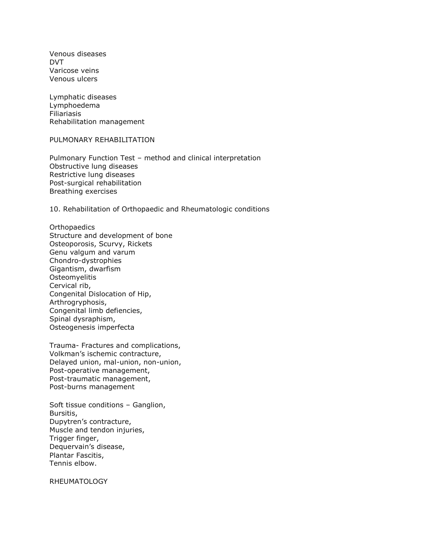Venous diseases DVT Varicose veins Venous ulcers

Lymphatic diseases Lymphoedema Filiariasis Rehabilitation management

PULMONARY REHABILITATION

Pulmonary Function Test – method and clinical interpretation Obstructive lung diseases Restrictive lung diseases Post-surgical rehabilitation Breathing exercises

10. Rehabilitation of Orthopaedic and Rheumatologic conditions

**Orthopaedics** Structure and development of bone Osteoporosis, Scurvy, Rickets Genu valgum and varum Chondro-dystrophies Gigantism, dwarfism Osteomyelitis Cervical rib, Congenital Dislocation of Hip, Arthrogryphosis, Congenital limb defiencies, Spinal dysraphism, Osteogenesis imperfecta

Trauma- Fractures and complications, Volkman's ischemic contracture, Delayed union, mal-union, non-union, Post-operative management, Post-traumatic management, Post-burns management

Soft tissue conditions – Ganglion, Bursitis, Dupytren's contracture, Muscle and tendon injuries, Trigger finger, Dequervain's disease, Plantar Fascitis, Tennis elbow.

RHEUMATOLOGY